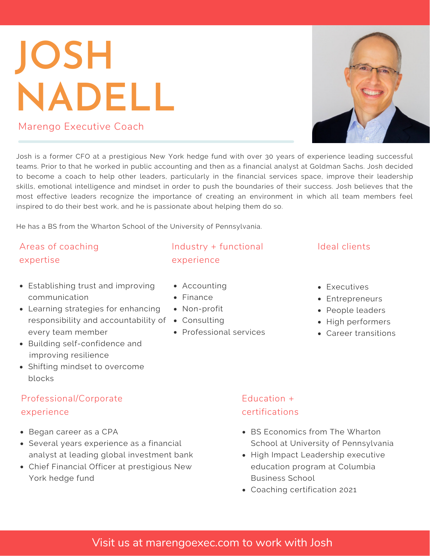# **JOSH NADELL** Marengo Executive Coach

Josh is a former CFO at a prestigious New York hedge fund with over 30 years of experience leading successful teams. Prior to that he worked in public accounting and then as a financial analyst at Goldman Sachs. Josh decided to become a coach to help other leaders, particularly in the financial services space, improve their leadership skills, emotional intelligence and mindset in order to push the boundaries of their success. Josh believes that the most effective leaders recognize the importance of creating an environment in which all team members feel inspired to do their best work, and he is passionate about helping them do so.

He has a BS from the Wharton School of the University of Pennsylvania.

# Areas of coaching expertise

- Establishing trust and improving communication
- $responsibility$  and accountability of  $\;\;\bullet\;\;$  Consulting Learning strategies for enhancing every team member
- Building self-confidence and improving resilience
- Shifting mindset to overcome blocks

### Professional/Corporate experience

- Began career as a CPA
- Several years experience as a financial analyst at leading global investment bank
- Chief Financial Officer at prestigious New York hedge fund

# Industry + functional experience

- Accounting
- Finance
- Non-profit
- 
- Professional services

# Education + certifications

- BS Economics from The Wharton School at University of Pennsylvania
- High Impact Leadership executive education program at Columbia Business School
- Coaching certification 2021

# • High performers

Career transitions

Visit us at marengoexec.com to work with Josh

# Ideal clients

• Executives Entrepreneurs People leaders